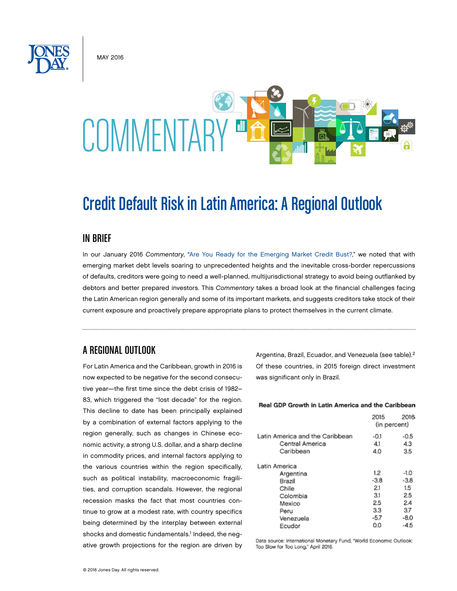May 2016



# Credit Default Risk in Latin America: A Regional Outlook

#### IN BRIEF

In our January 2016 *Commentary*, ["Are You Ready for the Emerging Market Credit Bust?,](http://www.jonesday.com/Are-You-Ready-for-the-Emerging-Market-Credit-Bust-01-14-2016)" we noted that with emerging market debt levels soaring to unprecedented heights and the inevitable cross-border repercussions of defaults, creditors were going to need a well-planned, multijurisdictional strategy to avoid being outflanked by debtors and better prepared investors. This *Commentary* takes a broad look at the financial challenges facing the Latin American region generally and some of its important markets, and suggests creditors take stock of their current exposure and proactively prepare appropriate plans to protect themselves in the current climate.

## A REGIONAL OUTLOOK

For Latin America and the Caribbean, growth in 2016 is now expected to be negative for the second consecutive year—the first time since the debt crisis of 1982– 83, which triggered the "lost decade" for the region. This decline to date has been principally explained by a combination of external factors applying to the region generally, such as changes in Chinese economic activity, a strong U.S. dollar, and a sharp decline in commodity prices, and internal factors applying to the various countries within the region specifically, such as political instability, macroeconomic fragilities, and corruption scandals. However, the regional recession masks the fact that most countries continue to grow at a modest rate, with country specifics being determined by the interplay between external shocks and domestic fundamentals.<sup>1</sup> Indeed, the negative growth projections for the region are driven by Argentina, Brazil, Ecuador, and Venezuela (see table).2 Of these countries, in 2015 foreign direct investment was significant only in Brazil.

#### Real GDP Growth in Latin America and the Caribbean

|                                 | 2015<br>(in percent) | 2016   |
|---------------------------------|----------------------|--------|
| Latin America and the Caribbean | $-0.1$               | $-0.5$ |
| Central America                 | 4.1                  | 4.3    |
| Caribbean                       | 4.0                  | 3.5    |
| Latin America                   |                      |        |
| Argentina                       | 1.2                  | $-1.0$ |
| Brazil                          | $-3.8$               | $-3.8$ |
| Chile                           | 2.1                  | 1.5    |
| Colombia                        | 3.1                  | 2.5    |
| Mexico                          | 2.5                  | 2.4    |
| Peru                            | 3.3                  | 3.7    |
| Venezuela                       | -5.7                 | -8.0   |
| Ecudor                          | 0.0                  | $-4.5$ |

Data source: International Monetary Fund, "World Economic Outlook: Too Slow for Too Long," April 2016.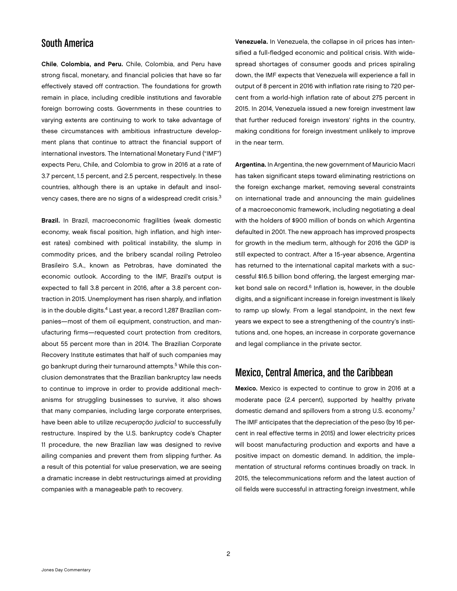#### South America

Chile, Colombia, and Peru. Chile, Colombia, and Peru have strong fiscal, monetary, and financial policies that have so far effectively staved off contraction. The foundations for growth remain in place, including credible institutions and favorable foreign borrowing costs. Governments in these countries to varying extents are continuing to work to take advantage of these circumstances with ambitious infrastructure development plans that continue to attract the financial support of international investors. The International Monetary Fund ("IMF") expects Peru, Chile, and Colombia to grow in 2016 at a rate of 3.7 percent, 1.5 percent, and 2.5 percent, respectively. In these countries, although there is an uptake in default and insolvency cases, there are no signs of a widespread credit crisis.<sup>3</sup>

Brazil. In Brazil, macroeconomic fragilities (weak domestic economy, weak fiscal position, high inflation, and high interest rates) combined with political instability, the slump in commodity prices, and the bribery scandal roiling Petroleo Brasileiro S.A., known as Petrobras, have dominated the economic outlook. According to the IMF, Brazil's output is expected to fall 3.8 percent in 2016, after a 3.8 percent contraction in 2015. Unemployment has risen sharply, and inflation is in the double digits.<sup>4</sup> Last year, a record 1,287 Brazilian companies—most of them oil equipment, construction, and manufacturing firms—requested court protection from creditors, about 55 percent more than in 2014. The Brazilian Corporate Recovery Institute estimates that half of such companies may go bankrupt during their turnaround attempts.<sup>5</sup> While this conclusion demonstrates that the Brazilian bankruptcy law needs to continue to improve in order to provide additional mechanisms for struggling businesses to survive, it also shows that many companies, including large corporate enterprises, have been able to utilize *recuperação judicial* to successfully restructure. Inspired by the U.S. bankruptcy code's Chapter 11 procedure, the new Brazilian law was designed to revive ailing companies and prevent them from slipping further. As a result of this potential for value preservation, we are seeing a dramatic increase in debt restructurings aimed at providing companies with a manageable path to recovery.

Venezuela. In Venezuela, the collapse in oil prices has intensified a full-fledged economic and political crisis. With widespread shortages of consumer goods and prices spiraling down, the IMF expects that Venezuela will experience a fall in output of 8 percent in 2016 with inflation rate rising to 720 percent from a world-high inflation rate of about 275 percent in 2015. In 2014, Venezuela issued a new foreign investment law that further reduced foreign investors' rights in the country, making conditions for foreign investment unlikely to improve in the near term.

Argentina. In Argentina, the new government of Mauricio Macri has taken significant steps toward eliminating restrictions on the foreign exchange market, removing several constraints on international trade and announcing the main guidelines of a macroeconomic framework, including negotiating a deal with the holders of \$900 million of bonds on which Argentina defaulted in 2001. The new approach has improved prospects for growth in the medium term, although for 2016 the GDP is still expected to contract. After a 15-year absence, Argentina has returned to the international capital markets with a successful \$16.5 billion bond offering, the largest emerging market bond sale on record.<sup>6</sup> Inflation is, however, in the double digits, and a significant increase in foreign investment is likely to ramp up slowly. From a legal standpoint, in the next few years we expect to see a strengthening of the country's institutions and, one hopes, an increase in corporate governance and legal compliance in the private sector.

# Mexico, Central America, and the Caribbean

Mexico. Mexico is expected to continue to grow in 2016 at a moderate pace (2.4 percent), supported by healthy private domestic demand and spillovers from a strong U.S. economy.<sup>7</sup> The IMF anticipates that the depreciation of the peso (by 16 percent in real effective terms in 2015) and lower electricity prices will boost manufacturing production and exports and have a positive impact on domestic demand. In addition, the implementation of structural reforms continues broadly on track. In 2015, the telecommunications reform and the latest auction of oil fields were successful in attracting foreign investment, while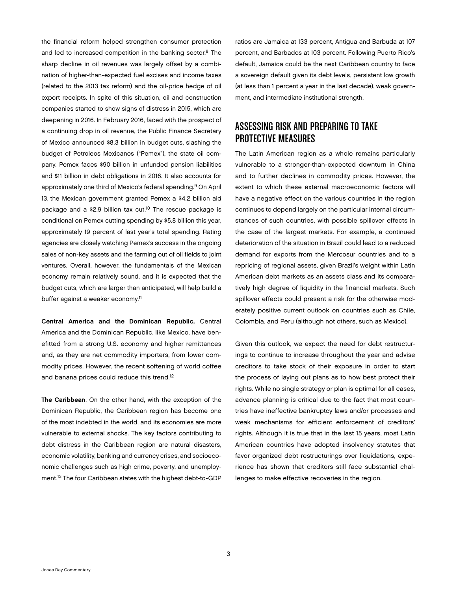the financial reform helped strengthen consumer protection and led to increased competition in the banking sector.<sup>8</sup> The sharp decline in oil revenues was largely offset by a combination of higher-than-expected fuel excises and income taxes (related to the 2013 tax reform) and the oil-price hedge of oil export receipts. In spite of this situation, oil and construction companies started to show signs of distress in 2015, which are deepening in 2016. In February 2016, faced with the prospect of a continuing drop in oil revenue, the Public Finance Secretary of Mexico announced \$8.3 billion in budget cuts, slashing the budget of Petroleos Mexicanos ("Pemex"), the state oil company. Pemex faces \$90 billion in unfunded pension liabilities and \$11 billion in debt obligations in 2016. It also accounts for approximately one third of Mexico's federal spending.9 On April 13, the Mexican government granted Pemex a \$4.2 billion aid package and a \$2.9 billion tax cut.<sup>10</sup> The rescue package is conditional on Pemex cutting spending by \$5.8 billion this year, approximately 19 percent of last year's total spending. Rating agencies are closely watching Pemex's success in the ongoing sales of non-key assets and the farming out of oil fields to joint ventures. Overall, however, the fundamentals of the Mexican economy remain relatively sound, and it is expected that the budget cuts, which are larger than anticipated, will help build a buffer against a weaker economy.<sup>11</sup>

Central America and the Dominican Republic. Central America and the Dominican Republic, like Mexico, have benefitted from a strong U.S. economy and higher remittances and, as they are net commodity importers, from lower commodity prices. However, the recent softening of world coffee and banana prices could reduce this trend.<sup>12</sup>

The Caribbean. On the other hand, with the exception of the Dominican Republic, the Caribbean region has become one of the most indebted in the world, and its economies are more vulnerable to external shocks. The key factors contributing to debt distress in the Caribbean region are natural disasters, economic volatility, banking and currency crises, and socioeconomic challenges such as high crime, poverty, and unemployment.13 The four Caribbean states with the highest debt-to-GDP

ratios are Jamaica at 133 percent, Antigua and Barbuda at 107 percent, and Barbados at 103 percent. Following Puerto Rico's default, Jamaica could be the next Caribbean country to face a sovereign default given its debt levels, persistent low growth (at less than 1 percent a year in the last decade), weak government, and intermediate institutional strength.

# ASSESSING RISK AND PREPARING TO TAKE PROTECTIVE MEASURES

The Latin American region as a whole remains particularly vulnerable to a stronger-than-expected downturn in China and to further declines in commodity prices. However, the extent to which these external macroeconomic factors will have a negative effect on the various countries in the region continues to depend largely on the particular internal circumstances of such countries, with possible spillover effects in the case of the largest markets. For example, a continued deterioration of the situation in Brazil could lead to a reduced demand for exports from the Mercosur countries and to a repricing of regional assets, given Brazil's weight within Latin American debt markets as an assets class and its comparatively high degree of liquidity in the financial markets. Such spillover effects could present a risk for the otherwise moderately positive current outlook on countries such as Chile, Colombia, and Peru (although not others, such as Mexico).

Given this outlook, we expect the need for debt restructurings to continue to increase throughout the year and advise creditors to take stock of their exposure in order to start the process of laying out plans as to how best protect their rights. While no single strategy or plan is optimal for all cases, advance planning is critical due to the fact that most countries have ineffective bankruptcy laws and/or processes and weak mechanisms for efficient enforcement of creditors' rights. Although it is true that in the last 15 years, most Latin American countries have adopted insolvency statutes that favor organized debt restructurings over liquidations, experience has shown that creditors still face substantial challenges to make effective recoveries in the region.